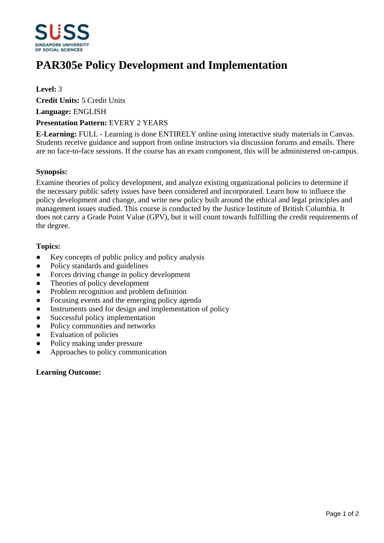

# **PAR305e Policy Development and Implementation**

**Level:** 3

**Credit Units:** 5 Credit Units

**Language:** ENGLISH

## **Presentation Pattern:** EVERY 2 YEARS

**E-Learning:** FULL - Learning is done ENTIRELY online using interactive study materials in Canvas. Students receive guidance and support from online instructors via discussion forums and emails. There are no face-to-face sessions. If the course has an exam component, this will be administered on-campus.

## **Synopsis:**

Examine theories of policy development, and analyze existing organizational policies to determine if the necessary public safety issues have been considered and incorporated. Learn how to influece the policy development and change, and write new policy built around the ethical and legal principles and management issues studied. This course is conducted by the Justice Institute of British Columbia. It does not carry a Grade Point Value (GPV), but it will count towards fulfilling the credit requirements of the degree.

## **Topics:**

- Key concepts of public policy and policy analysis
- Policy standards and guidelines
- Forces driving change in policy development
- ƔTheories of policy development
- Problem recognition and problem definition
- Focusing events and the emerging policy agenda
- Instruments used for design and implementation of policy
- Successful policy implementation
- Policy communities and networks
- ƔEvaluation of policies
- Policy making under pressure
- ƔApproaches to policy communication

### **Learning Outcome:**